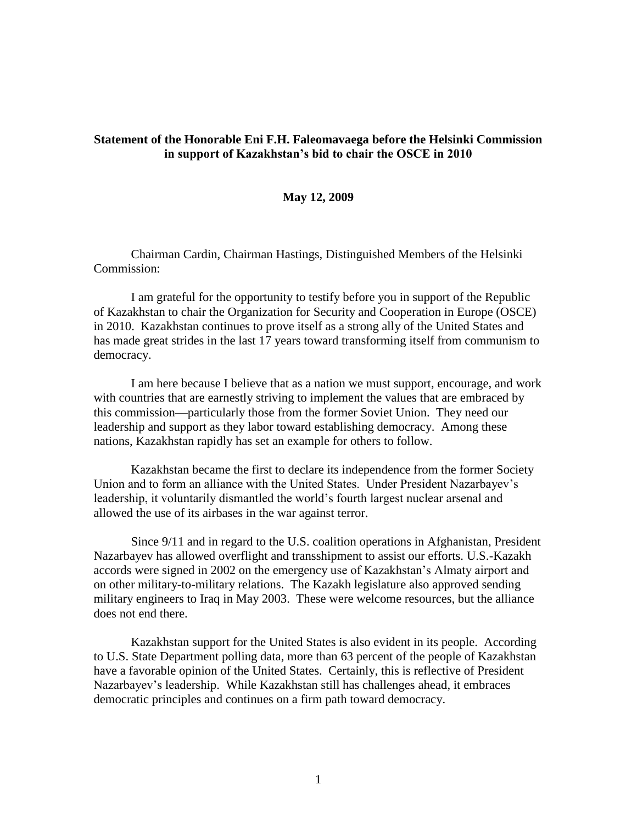## **Statement of the Honorable Eni F.H. Faleomavaega before the Helsinki Commission in support of Kazakhstan's bid to chair the OSCE in 2010**

## **May 12, 2009**

Chairman Cardin, Chairman Hastings, Distinguished Members of the Helsinki Commission:

I am grateful for the opportunity to testify before you in support of the Republic of Kazakhstan to chair the Organization for Security and Cooperation in Europe (OSCE) in 2010. Kazakhstan continues to prove itself as a strong ally of the United States and has made great strides in the last 17 years toward transforming itself from communism to democracy.

I am here because I believe that as a nation we must support, encourage, and work with countries that are earnestly striving to implement the values that are embraced by this commission—particularly those from the former Soviet Union. They need our leadership and support as they labor toward establishing democracy. Among these nations, Kazakhstan rapidly has set an example for others to follow.

Kazakhstan became the first to declare its independence from the former Society Union and to form an alliance with the United States. Under President Nazarbayev's leadership, it voluntarily dismantled the world's fourth largest nuclear arsenal and allowed the use of its airbases in the war against terror.

Since 9/11 and in regard to the U.S. coalition operations in Afghanistan, President Nazarbayev has allowed overflight and transshipment to assist our efforts. U.S.-Kazakh accords were signed in 2002 on the emergency use of Kazakhstan's Almaty airport and on other military-to-military relations. The Kazakh legislature also approved sending military engineers to Iraq in May 2003. These were welcome resources, but the alliance does not end there.

Kazakhstan support for the United States is also evident in its people. According to U.S. State Department polling data, more than 63 percent of the people of Kazakhstan have a favorable opinion of the United States. Certainly, this is reflective of President Nazarbayev's leadership. While Kazakhstan still has challenges ahead, it embraces democratic principles and continues on a firm path toward democracy.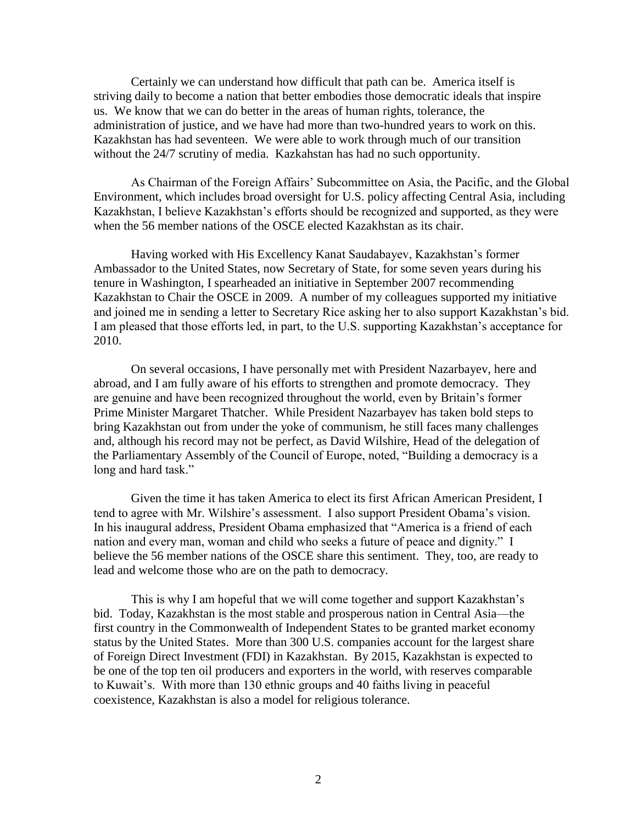Certainly we can understand how difficult that path can be. America itself is striving daily to become a nation that better embodies those democratic ideals that inspire us. We know that we can do better in the areas of human rights, tolerance, the administration of justice, and we have had more than two-hundred years to work on this. Kazakhstan has had seventeen. We were able to work through much of our transition without the 24/7 scrutiny of media. Kazkahstan has had no such opportunity.

As Chairman of the Foreign Affairs' Subcommittee on Asia, the Pacific, and the Global Environment, which includes broad oversight for U.S. policy affecting Central Asia, including Kazakhstan, I believe Kazakhstan's efforts should be recognized and supported, as they were when the 56 member nations of the OSCE elected Kazakhstan as its chair.

Having worked with His Excellency Kanat Saudabayev, Kazakhstan's former Ambassador to the United States, now Secretary of State, for some seven years during his tenure in Washington, I spearheaded an initiative in September 2007 recommending Kazakhstan to Chair the OSCE in 2009. A number of my colleagues supported my initiative and joined me in sending a letter to Secretary Rice asking her to also support Kazakhstan's bid. I am pleased that those efforts led, in part, to the U.S. supporting Kazakhstan's acceptance for 2010.

On several occasions, I have personally met with President Nazarbayev, here and abroad, and I am fully aware of his efforts to strengthen and promote democracy. They are genuine and have been recognized throughout the world, even by Britain's former Prime Minister Margaret Thatcher. While President Nazarbayev has taken bold steps to bring Kazakhstan out from under the yoke of communism, he still faces many challenges and, although his record may not be perfect, as David Wilshire, Head of the delegation of the Parliamentary Assembly of the Council of Europe, noted, "Building a democracy is a long and hard task."

Given the time it has taken America to elect its first African American President, I tend to agree with Mr. Wilshire's assessment. I also support President Obama's vision. In his inaugural address, President Obama emphasized that "America is a friend of each nation and every man, woman and child who seeks a future of peace and dignity." I believe the 56 member nations of the OSCE share this sentiment. They, too, are ready to lead and welcome those who are on the path to democracy.

This is why I am hopeful that we will come together and support Kazakhstan's bid. Today, Kazakhstan is the most stable and prosperous nation in Central Asia—the first country in the Commonwealth of Independent States to be granted market economy status by the United States. More than 300 U.S. companies account for the largest share of Foreign Direct Investment (FDI) in Kazakhstan. By 2015, Kazakhstan is expected to be one of the top ten oil producers and exporters in the world, with reserves comparable to Kuwait's. With more than 130 ethnic groups and 40 faiths living in peaceful coexistence, Kazakhstan is also a model for religious tolerance.